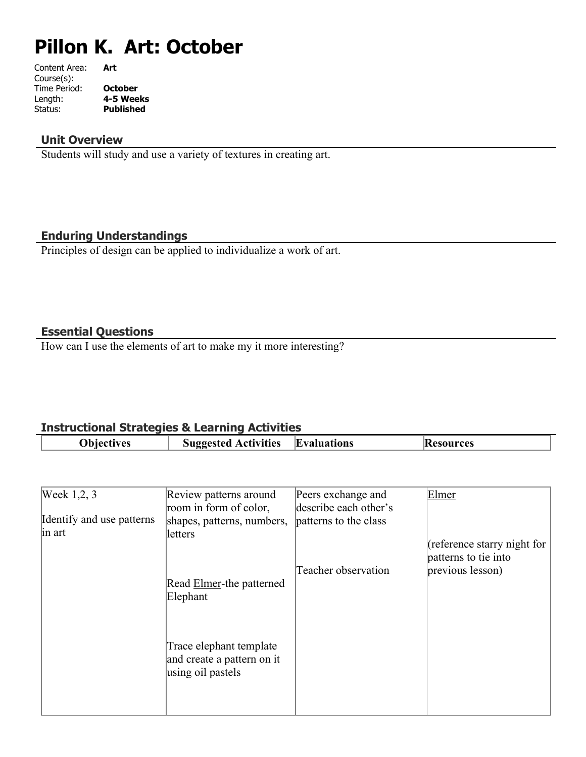# **Pillon K. Art: October**

| Content Area: | Art              |
|---------------|------------------|
| Course(s):    |                  |
| Time Period:  | <b>October</b>   |
| Length:       | 4-5 Weeks        |
| Status:       | <b>Published</b> |
|               |                  |

## **Unit Overview**

Students will study and use a variety of textures in creating art.

## **Enduring Understandings**

Principles of design can be applied to individualize a work of art.

### **Essential Questions**

How can I use the elements of art to make my it more interesting?

## **Instructional Strategies & Learning Activities**

| <b>Activities</b><br>Evaluations<br>hataannii<br>rces<br>ves<br>K<br>וו |  |
|-------------------------------------------------------------------------|--|

| Week 1,2, 3               | Review patterns around           | Peers exchange and    | Elmer                       |
|---------------------------|----------------------------------|-----------------------|-----------------------------|
|                           | room in form of color,           | describe each other's |                             |
| Identify and use patterns | shapes, patterns, numbers,       | patterns to the class |                             |
| in art                    | letters                          |                       |                             |
|                           |                                  |                       | (reference starry night for |
|                           |                                  |                       | patterns to tie into        |
|                           |                                  | Teacher observation   | previous lesson)            |
|                           | Read <b>Elmer</b> -the patterned |                       |                             |
|                           | Elephant                         |                       |                             |
|                           |                                  |                       |                             |
|                           |                                  |                       |                             |
|                           |                                  |                       |                             |
|                           | Trace elephant template          |                       |                             |
|                           | and create a pattern on it       |                       |                             |
|                           | using oil pastels                |                       |                             |
|                           |                                  |                       |                             |
|                           |                                  |                       |                             |
|                           |                                  |                       |                             |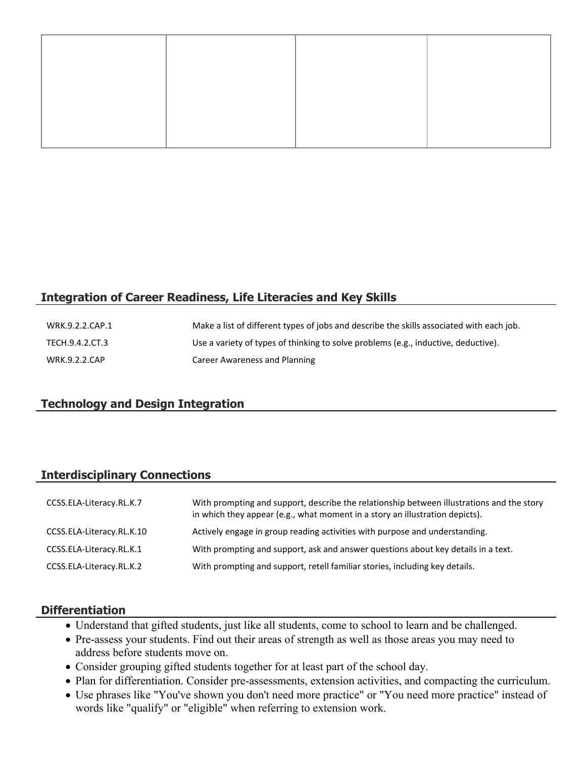## **Integration of Career Readiness, Life Literacies and Key Skills**

| WRK.9.2.2.CAP.1 | Make a list of different types of jobs and describe the skills associated with each job. |
|-----------------|------------------------------------------------------------------------------------------|
| TECH.9.4.2.CT.3 | Use a variety of types of thinking to solve problems (e.g., inductive, deductive).       |
| WRK.9.2.2.CAP   | Career Awareness and Planning                                                            |

#### **Technology and Design Integration**

#### **Interdisciplinary Connections**

| CCSS.ELA-Literacy.RL.K.7  | With prompting and support, describe the relationship between illustrations and the story<br>in which they appear (e.g., what moment in a story an illustration depicts). |
|---------------------------|---------------------------------------------------------------------------------------------------------------------------------------------------------------------------|
| CCSS.ELA-Literacy.RL.K.10 | Actively engage in group reading activities with purpose and understanding.                                                                                               |
| CCSS.ELA-Literacy.RL.K.1  | With prompting and support, ask and answer questions about key details in a text.                                                                                         |
| CCSS.ELA-Literacy.RL.K.2  | With prompting and support, retell familiar stories, including key details.                                                                                               |

#### **Differentiation**

- Understand that gifted students, just like all students, come to school to learn and be challenged.
- Pre-assess your students. Find out their areas of strength as well as those areas you may need to address before students move on.
- Consider grouping gifted students together for at least part of the school day.
- Plan for differentiation. Consider pre-assessments, extension activities, and compacting the curriculum.
- Use phrases like "You've shown you don't need more practice" or "You need more practice" instead of words like "qualify" or "eligible" when referring to extension work.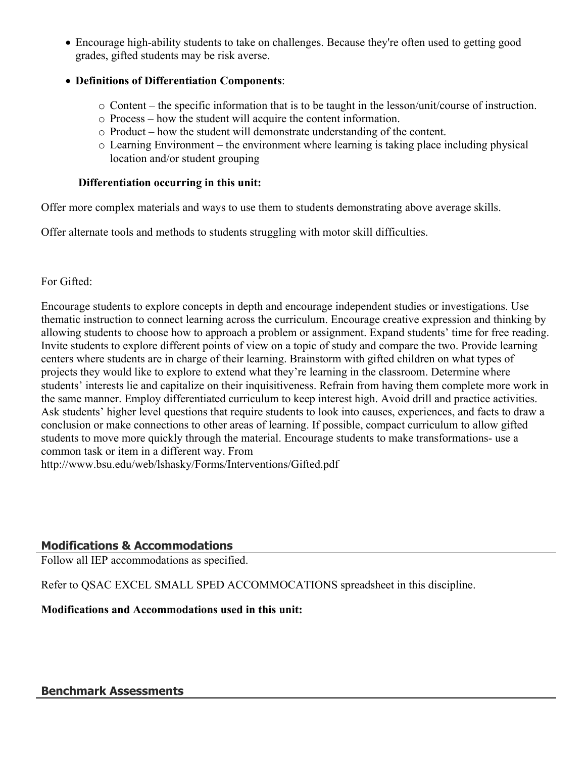Encourage high-ability students to take on challenges. Because they're often used to getting good grades, gifted students may be risk averse.

## **Definitions of Differentiation Components**:

- o Content the specific information that is to be taught in the lesson/unit/course of instruction.
- o Process how the student will acquire the content information.
- o Product how the student will demonstrate understanding of the content.
- o Learning Environment the environment where learning is taking place including physical location and/or student grouping

#### **Differentiation occurring in this unit:**

Offer more complex materials and ways to use them to students demonstrating above average skills.

Offer alternate tools and methods to students struggling with motor skill difficulties.

## For Gifted:

Encourage students to explore concepts in depth and encourage independent studies or investigations. Use thematic instruction to connect learning across the curriculum. Encourage creative expression and thinking by allowing students to choose how to approach a problem or assignment. Expand students' time for free reading. Invite students to explore different points of view on a topic of study and compare the two. Provide learning centers where students are in charge of their learning. Brainstorm with gifted children on what types of projects they would like to explore to extend what they're learning in the classroom. Determine where students' interests lie and capitalize on their inquisitiveness. Refrain from having them complete more work in the same manner. Employ differentiated curriculum to keep interest high. Avoid drill and practice activities. Ask students' higher level questions that require students to look into causes, experiences, and facts to draw a conclusion or make connections to other areas of learning. If possible, compact curriculum to allow gifted students to move more quickly through the material. Encourage students to make transformations- use a common task or item in a different way. From http://www.bsu.edu/web/lshasky/Forms/Interventions/Gifted.pdf

## **Modifications & Accommodations**

Follow all IEP accommodations as specified.

Refer to QSAC EXCEL SMALL SPED ACCOMMOCATIONS spreadsheet in this discipline.

**Modifications and Accommodations used in this unit:**

## **Benchmark Assessments**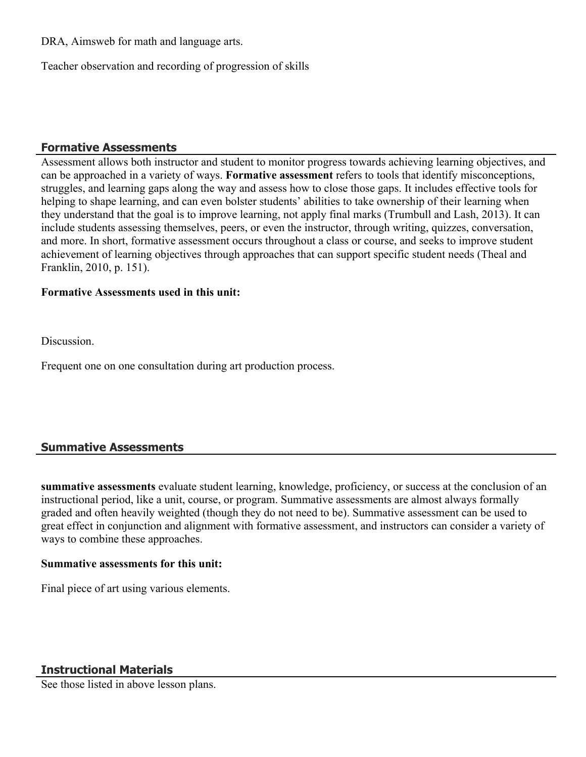DRA, Aimsweb for math and language arts.

Teacher observation and recording of progression of skills

#### **Formative Assessments**

Assessment allows both instructor and student to monitor progress towards achieving learning objectives, and can be approached in a variety of ways. **Formative assessment** refers to tools that identify misconceptions, struggles, and learning gaps along the way and assess how to close those gaps. It includes effective tools for helping to shape learning, and can even bolster students' abilities to take ownership of their learning when they understand that the goal is to improve learning, not apply final marks (Trumbull and Lash, 2013). It can include students assessing themselves, peers, or even the instructor, through writing, quizzes, conversation, and more. In short, formative assessment occurs throughout a class or course, and seeks to improve student achievement of learning objectives through approaches that can support specific student needs (Theal and Franklin, 2010, p. 151).

#### **Formative Assessments used in this unit:**

**Discussion** 

Frequent one on one consultation during art production process.

## **Summative Assessments**

**summative assessments** evaluate student learning, knowledge, proficiency, or success at the conclusion of an instructional period, like a unit, course, or program. Summative assessments are almost always formally graded and often heavily weighted (though they do not need to be). Summative assessment can be used to great effect in conjunction and alignment with formative assessment, and instructors can consider a variety of ways to combine these approaches.

#### **Summative assessments for this unit:**

Final piece of art using various elements.

## **Instructional Materials**

See those listed in above lesson plans.